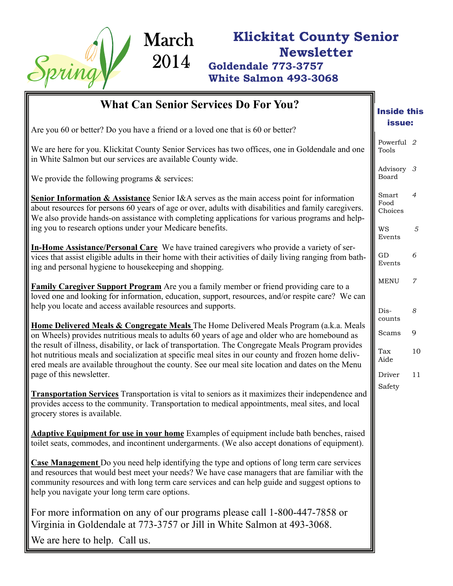

## **Klickitat County Senior Newsletter Goldendale 773-3757**

**White Salmon 493-3068** 

| <b>What Can Senior Services Do For You?</b>                                                                                                                                                                                                                                                                                                                | <b>Inside this</b>       |                |
|------------------------------------------------------------------------------------------------------------------------------------------------------------------------------------------------------------------------------------------------------------------------------------------------------------------------------------------------------------|--------------------------|----------------|
| Are you 60 or better? Do you have a friend or a loved one that is 60 or better?                                                                                                                                                                                                                                                                            | issue:                   |                |
| We are here for you. Klickitat County Senior Services has two offices, one in Goldendale and one<br>in White Salmon but our services are available County wide.                                                                                                                                                                                            | Powerful 2<br>Tools      |                |
| We provide the following programs $\&$ services:                                                                                                                                                                                                                                                                                                           | Advisory 3<br>Board      |                |
| <b>Senior Information &amp; Assistance</b> Senior I&A serves as the main access point for information<br>about resources for persons 60 years of age or over, adults with disabilities and family caregivers.<br>We also provide hands-on assistance with completing applications for various programs and help-                                           | Smart<br>Food<br>Choices | $\overline{4}$ |
| ing you to research options under your Medicare benefits.                                                                                                                                                                                                                                                                                                  | WS<br>Events             | 5              |
| In-Home Assistance/Personal Care We have trained caregivers who provide a variety of ser-<br>vices that assist eligible adults in their home with their activities of daily living ranging from bath-<br>ing and personal hygiene to housekeeping and shopping.                                                                                            | GD<br>Events             | 6              |
| <b>Family Caregiver Support Program</b> Are you a family member or friend providing care to a<br>loved one and looking for information, education, support, resources, and/or respite care? We can                                                                                                                                                         | <b>MENU</b>              | $\overline{7}$ |
| help you locate and access available resources and supports.                                                                                                                                                                                                                                                                                               | Dis-<br>counts           | 8              |
| Home Delivered Meals & Congregate Meals The Home Delivered Meals Program (a.k.a. Meals<br>on Wheels) provides nutritious meals to adults 60 years of age and older who are homebound as                                                                                                                                                                    |                          |                |
| the result of illness, disability, or lack of transportation. The Congregate Meals Program provides<br>hot nutritious meals and socialization at specific meal sites in our county and frozen home deliv-<br>ered meals are available throughout the county. See our meal site location and dates on the Menu                                              | Scams<br>Tax<br>Aide     | 10             |
| page of this newsletter.                                                                                                                                                                                                                                                                                                                                   | Driver                   | 11             |
| <b>Transportation Services</b> Transportation is vital to seniors as it maximizes their independence and<br>provides access to the community. Transportation to medical appointments, meal sites, and local<br>grocery stores is available.                                                                                                                | Safety                   |                |
| Adaptive Equipment for use in your home Examples of equipment include bath benches, raised<br>toilet seats, commodes, and incontinent undergarments. (We also accept donations of equipment).                                                                                                                                                              |                          |                |
| <b>Case Management</b> Do you need help identifying the type and options of long term care services<br>and resources that would best meet your needs? We have case managers that are familiar with the<br>community resources and with long term care services and can help guide and suggest options to<br>help you navigate your long term care options. |                          |                |
| For more information on any of our programs please call 1-800-447-7858 or<br>Virginia in Goldendale at 773-3757 or Jill in White Salmon at 493-3068.                                                                                                                                                                                                       |                          |                |
| We are here to help. Call us.                                                                                                                                                                                                                                                                                                                              |                          |                |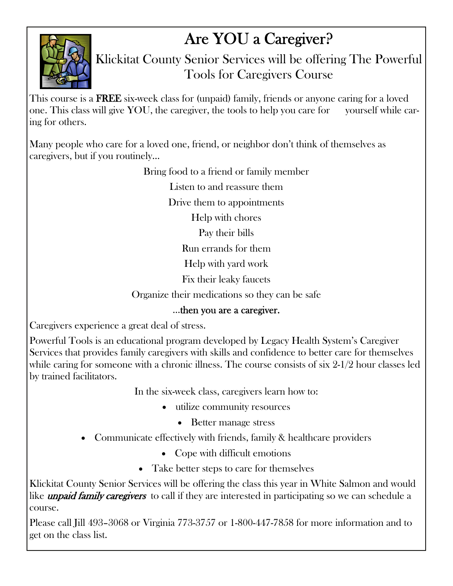## Are YOU a Caregiver?



Klickitat County Senior Services will be offering The Powerful Tools for Caregivers Course

This course is a **FREE** six-week class for (unpaid) family, friends or anyone caring for a loved one. This class will give YOU, the caregiver, the tools to help you care for yourself while caring for others.

Many people who care for a loved one, friend, or neighbor don't think of themselves as caregivers, but if you routinely…

Bring food to a friend or family member

Listen to and reassure them

Drive them to appointments

Help with chores

Pay their bills

Run errands for them

Help with yard work

Fix their leaky faucets

Organize their medications so they can be safe

### ...then you are a caregiver.

Caregivers experience a great deal of stress.

Powerful Tools is an educational program developed by Legacy Health System's Caregiver Services that provides family caregivers with skills and confidence to better care for themselves while caring for someone with a chronic illness. The course consists of six 2-1/2 hour classes led by trained facilitators.

In the six-week class, caregivers learn how to:

- utilize community resources
	- Better manage stress
- Communicate effectively with friends, family & healthcare providers
	- Cope with difficult emotions
	- Take better steps to care for themselves

Klickitat County Senior Services will be offering the class this year in White Salmon and would like *unpaid family caregivers* to call if they are interested in participating so we can schedule a course.

Please call Jill 493–3068 or Virginia 773-3757 or 1-800-447-7858 for more information and to get on the class list.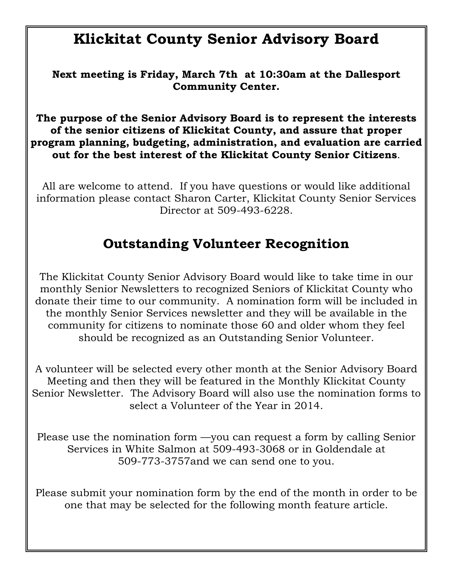## **Klickitat County Senior Advisory Board**

**Next meeting is Friday, March 7th at 10:30am at the Dallesport Community Center.** 

**The purpose of the Senior Advisory Board is to represent the interests of the senior citizens of Klickitat County, and assure that proper program planning, budgeting, administration, and evaluation are carried out for the best interest of the Klickitat County Senior Citizens**.

All are welcome to attend. If you have questions or would like additional information please contact Sharon Carter, Klickitat County Senior Services Director at 509-493-6228.

## **Outstanding Volunteer Recognition**

The Klickitat County Senior Advisory Board would like to take time in our monthly Senior Newsletters to recognized Seniors of Klickitat County who donate their time to our community. A nomination form will be included in the monthly Senior Services newsletter and they will be available in the community for citizens to nominate those 60 and older whom they feel should be recognized as an Outstanding Senior Volunteer.

A volunteer will be selected every other month at the Senior Advisory Board Meeting and then they will be featured in the Monthly Klickitat County Senior Newsletter. The Advisory Board will also use the nomination forms to select a Volunteer of the Year in 2014.

Please use the nomination form —you can request a form by calling Senior Services in White Salmon at 509-493-3068 or in Goldendale at 509-773-3757and we can send one to you.

Please submit your nomination form by the end of the month in order to be one that may be selected for the following month feature article.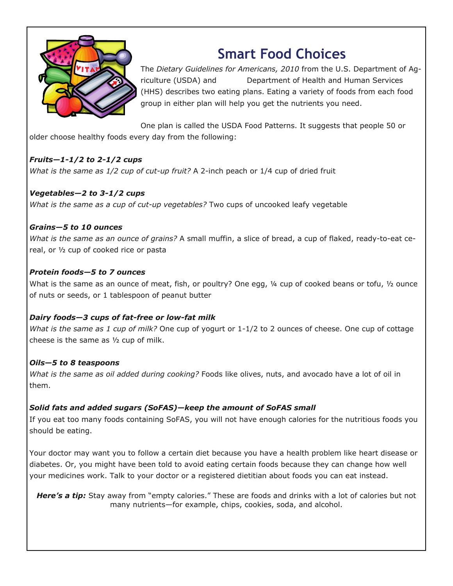

## **Smart Food Choices**

The *Dietary Guidelines for Americans, 2010* from the U.S. Department of Agriculture (USDA) and Department of Health and Human Services (HHS) describes two eating plans. Eating a variety of foods from each food group in either plan will help you get the nutrients you need.

One plan is called the USDA Food Patterns. It suggests that people 50 or older choose healthy foods every day from the following:

#### *Fruits—1-1/2 to 2-1/2 cups*

*What is the same as 1/2 cup of cut-up fruit?* A 2-inch peach or 1/4 cup of dried fruit

#### *Vegetables—2 to 3-1/2 cups*

*What is the same as a cup of cut-up vegetables?* Two cups of uncooked leafy vegetable

#### *Grains—5 to 10 ounces*

*What is the same as an ounce of grains?* A small muffin, a slice of bread, a cup of flaked, ready-to-eat cereal, or ½ cup of cooked rice or pasta

#### *Protein foods—5 to 7 ounces*

What is the same as an ounce of meat, fish, or poultry? One egg, 1/4 cup of cooked beans or tofu, 1/2 ounce of nuts or seeds, or 1 tablespoon of peanut butter

#### *Dairy foods—3 cups of fat-free or low-fat milk*

*What is the same as 1 cup of milk?* One cup of yogurt or 1-1/2 to 2 ounces of cheese. One cup of cottage cheese is the same as ½ cup of milk.

#### *Oils—5 to 8 teaspoons*

*What is the same as oil added during cooking?* Foods like olives, nuts, and avocado have a lot of oil in them.

#### *Solid fats and added sugars (SoFAS)—keep the amount of SoFAS small*

If you eat too many foods containing SoFAS, you will not have enough calories for the nutritious foods you should be eating.

Your doctor may want you to follow a certain diet because you have a health problem like heart disease or diabetes. Or, you might have been told to avoid eating certain foods because they can change how well your medicines work. Talk to your doctor or a registered dietitian about foods you can eat instead.

*Here's a tip:* Stay away from "empty calories." These are foods and drinks with a lot of calories but not many nutrients—for example, chips, cookies, soda, and alcohol.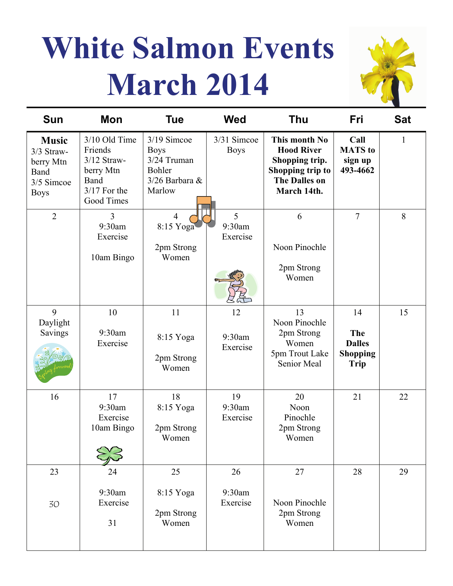# **White Salmon Events March 2014**



| <b>Sun</b>                                                                   | Mon                                                                                            | <b>Tue</b>                                                                        | <b>Wed</b>                 | <b>Thu</b>                                                                                                      | Fri                                                          | <b>Sat</b>   |
|------------------------------------------------------------------------------|------------------------------------------------------------------------------------------------|-----------------------------------------------------------------------------------|----------------------------|-----------------------------------------------------------------------------------------------------------------|--------------------------------------------------------------|--------------|
| <b>Music</b><br>3/3 Straw-<br>berry Mtn<br>Band<br>3/5 Simcoe<br><b>Boys</b> | 3/10 Old Time<br>Friends<br>$3/12$ Straw-<br>berry Mtn<br>Band<br>$3/17$ For the<br>Good Times | 3/19 Simcoe<br><b>Boys</b><br>3/24 Truman<br>Bohler<br>$3/26$ Barbara &<br>Marlow | 3/31 Simcoe<br><b>Boys</b> | This month No<br><b>Hood River</b><br>Shopping trip.<br>Shopping trip to<br><b>The Dalles on</b><br>March 14th. | Call<br><b>MATS</b> to<br>sign up<br>493-4662                | $\mathbf{1}$ |
| $\overline{2}$                                                               | $\overline{3}$<br>9:30am<br>Exercise<br>10am Bingo                                             | $\overline{4}$<br>8:15 Yoga<br>2pm Strong<br>Women                                | 5<br>9:30am<br>Exercise    | 6<br>Noon Pinochle<br>2pm Strong<br>Women                                                                       | $\overline{7}$                                               | 8            |
| 9<br>Daylight<br>Savings                                                     | 10<br>9:30am<br>Exercise                                                                       | 11<br>8:15 Yoga<br>2pm Strong<br>Women                                            | 12<br>9:30am<br>Exercise   | 13<br>Noon Pinochle<br>2pm Strong<br>Women<br>5pm Trout Lake<br>Senior Meal                                     | 14<br>The<br><b>Dalles</b><br><b>Shopping</b><br><b>Trip</b> | 15           |
| 16                                                                           | 17<br>9:30am<br>Exercise<br>10am Bingo                                                         | 18<br>8:15 Yoga<br>2pm Strong<br>Women                                            | 19<br>9:30am<br>Exercise   | 20<br>Noon<br>Pinochle<br>2pm Strong<br>Women                                                                   | 21                                                           | 22           |
| 23<br>30                                                                     | 24<br>9:30am<br>Exercise<br>31                                                                 | 25<br>8:15 Yoga<br>2pm Strong<br>Women                                            | 26<br>9:30am<br>Exercise   | 27<br>Noon Pinochle<br>2pm Strong<br>Women                                                                      | 28                                                           | 29           |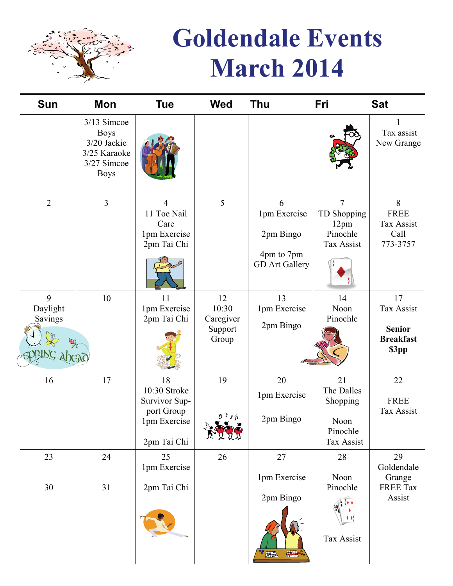

# **Goldendale Events March 2014**

| Mon                                                                                     | <b>Tue</b>                                                                       | <b>Wed</b>                                   | <b>Thu</b>                                                            | Fri                                                            | <b>Sat</b>                                                     |
|-----------------------------------------------------------------------------------------|----------------------------------------------------------------------------------|----------------------------------------------|-----------------------------------------------------------------------|----------------------------------------------------------------|----------------------------------------------------------------|
| 3/13 Simcoe<br><b>Boys</b><br>3/20 Jackie<br>3/25 Karaoke<br>3/27 Simcoe<br><b>Boys</b> |                                                                                  |                                              |                                                                       |                                                                | Tax assist<br>New Grange                                       |
| $\overline{3}$                                                                          | 4<br>11 Toe Nail<br>Care<br>1pm Exercise<br>2pm Tai Chi                          | 5                                            | 6<br>1pm Exercise<br>2pm Bingo<br>4pm to 7pm<br><b>GD</b> Art Gallery | 7<br>TD Shopping<br>12 <sub>pm</sub><br>Pinochle<br>Tax Assist | 8<br><b>FREE</b><br><b>Tax Assist</b><br>Call<br>773-3757      |
| 10                                                                                      | 11<br>1pm Exercise<br>2pm Tai Chi                                                | 12<br>10:30<br>Caregiver<br>Support<br>Group | 13<br>1pm Exercise<br>2pm Bingo                                       | 14<br>Noon<br>Pinochle                                         | 17<br>Tax Assist<br><b>Senior</b><br><b>Breakfast</b><br>\$3pp |
| 17                                                                                      | 18<br>10:30 Stroke<br>Survivor Sup-<br>port Group<br>1pm Exercise<br>2pm Tai Chi | 19<br>L KKY                                  | 20<br>1pm Exercise<br>2pm Bingo                                       | 21<br>The Dalles<br>Shopping<br>Noon<br>Pinochle<br>Tax Assist | 22<br><b>FREE</b><br>Tax Assist                                |
| 24                                                                                      | 25                                                                               | 26                                           | 27                                                                    | 28                                                             | 29<br>Goldendale                                               |
| 31                                                                                      | 2pm Tai Chi                                                                      |                                              | 1pm Exercise<br>2pm Bingo                                             | Noon<br>Pinochle<br>Tax Assist                                 | Grange<br><b>FREE Tax</b><br>Assist                            |
|                                                                                         |                                                                                  | 1pm Exercise                                 |                                                                       | $\frac{1}{\sqrt{2}}$<br>羅                                      |                                                                |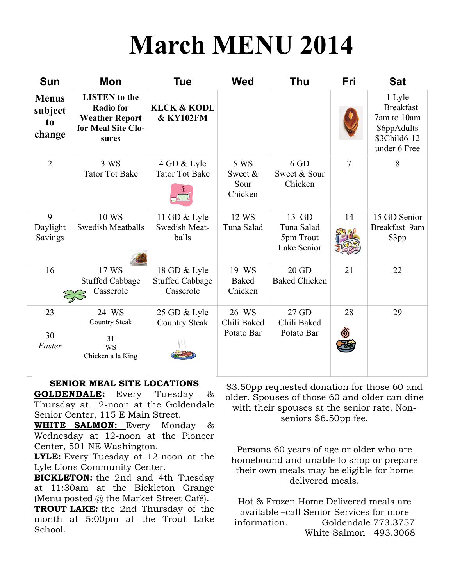# **March MENU 2014**

| <b>Sun</b>                              | Mon                                                                                              | <b>Tue</b>                                          | <b>Wed</b>                         | <b>Thu</b>                                      | Fri | <b>Sat</b>                                                                               |
|-----------------------------------------|--------------------------------------------------------------------------------------------------|-----------------------------------------------------|------------------------------------|-------------------------------------------------|-----|------------------------------------------------------------------------------------------|
| <b>Menus</b><br>subject<br>to<br>change | <b>LISTEN</b> to the<br><b>Radio for</b><br><b>Weather Report</b><br>for Meal Site Clo-<br>sures | <b>KLCK &amp; KODL</b><br><b>&amp; KY102FM</b>      |                                    |                                                 |     | 1 Lyle<br><b>Breakfast</b><br>7am to 10am<br>\$6ppAdults<br>\$3Child6-12<br>under 6 Free |
| $\overline{2}$                          | 3 WS<br><b>Tator Tot Bake</b>                                                                    | 4 GD & Lyle<br><b>Tator Tot Bake</b>                | 5 WS<br>Sweet &<br>Sour<br>Chicken | 6 GD<br>Sweet & Sour<br>Chicken                 | 7   | 8                                                                                        |
| 9<br>Daylight<br>Savings                | 10 WS<br><b>Swedish Meatballs</b>                                                                | 11 GD & Lyle<br><b>Swedish Meat-</b><br>balls       | 12 WS<br>Tuna Salad                | 13 GD<br>Tuna Salad<br>5pm Trout<br>Lake Senior | 14  | 15 GD Senior<br>Breakfast 9am<br>\$3pp                                                   |
| 16                                      | 17 WS<br><b>Stuffed Cabbage</b><br>Casserole                                                     | 18 GD & Lyle<br><b>Stuffed Cabbage</b><br>Casserole | 19 WS<br><b>Baked</b><br>Chicken   | $20$ GD<br><b>Baked Chicken</b>                 | 21  | 22                                                                                       |
| 23<br>30<br>Easter                      | 24 WS<br><b>Country Steak</b><br>31<br><b>WS</b><br>Chicken a la King                            | 25 GD & Lyle<br><b>Country Steak</b>                | 26 WS<br>Chili Baked<br>Potato Bar | 27 GD<br>Chili Baked<br>Potato Bar              | 28  | 29                                                                                       |

#### **SENIOR MEAL SITE LOCATIONS**

**GOLDENDALE:** Every Tuesday & Thursday at 12-noon at the Goldendale Senior Center, 115 E Main Street.

**WHITE SALMON:** Every Monday & Wednesday at 12-noon at the Pioneer Center, 501 NE Washington.

**LYLE:** Every Tuesday at 12-noon at the Lyle Lions Community Center.

**BICKLETON:** the 2nd and 4th Tuesday at 11:30am at the Bickleton Grange (Menu posted @ the Market Street Café).

**TROUT LAKE:** the 2nd Thursday of the month at 5:00pm at the Trout Lake School.

\$3.50pp requested donation for those 60 and older. Spouses of those 60 and older can dine with their spouses at the senior rate. Nonseniors \$6.50pp fee.

Persons 60 years of age or older who are homebound and unable to shop or prepare their own meals may be eligible for home delivered meals.

Hot & Frozen Home Delivered meals are available –call Senior Services for more information. Goldendale 773.3757 White Salmon 493.3068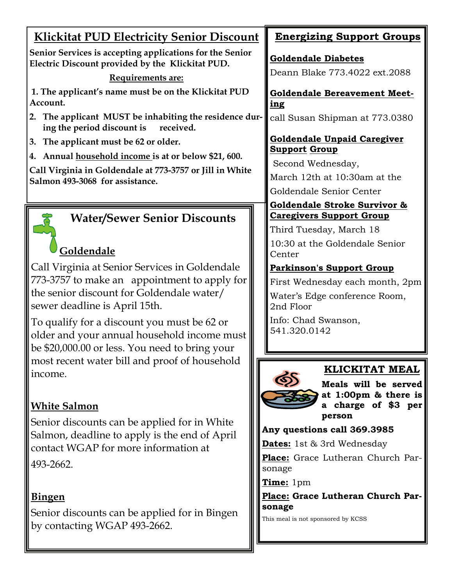| <b>Klickitat PUD Electricity Senior Discount</b>                                                             | <b>Energizing Support Groups</b>                                       |
|--------------------------------------------------------------------------------------------------------------|------------------------------------------------------------------------|
| Senior Services is accepting applications for the Senior<br>Electric Discount provided by the Klickitat PUD. | <b>Goldendale Diabetes</b>                                             |
| Requirements are:                                                                                            | Deann Blake 773.4022 ext.2088                                          |
| 1. The applicant's name must be on the Klickitat PUD<br>Account.                                             | <b>Goldendale Bereavement Meet-</b><br><u>ing</u>                      |
| 2. The applicant MUST be inhabiting the residence dur-<br>ing the period discount is<br>received.            | call Susan Shipman at 773.0380                                         |
| 3. The applicant must be 62 or older.                                                                        | <b>Goldendale Unpaid Caregiver</b>                                     |
| 4. Annual household income is at or below \$21, 600.                                                         | <u>Support Group</u>                                                   |
| Call Virginia in Goldendale at 773-3757 or Jill in White                                                     | Second Wednesday,<br>March 12th at 10:30am at the                      |
| Salmon 493-3068 for assistance.                                                                              |                                                                        |
|                                                                                                              | Goldendale Senior Center<br>Goldendale Stroke Survivor &               |
| <b>Water/Sewer Senior Discounts</b>                                                                          | <b>Caregivers Support Group</b>                                        |
|                                                                                                              | Third Tuesday, March 18                                                |
| Goldendale                                                                                                   | 10:30 at the Goldendale Senior<br>Center                               |
| Call Virginia at Senior Services in Goldendale                                                               | <b>Parkinson's Support Group</b>                                       |
| 773-3757 to make an appointment to apply for                                                                 | First Wednesday each month, 2pm                                        |
| the senior discount for Goldendale water/                                                                    | Water's Edge conference Room,                                          |
| sewer deadline is April 15th.                                                                                | 2nd Floor                                                              |
| To qualify for a discount you must be 62 or                                                                  | Info: Chad Swanson,                                                    |
| older and your annual household income must                                                                  | 541.320.0142                                                           |
| be \$20,000.00 or less. You need to bring your                                                               |                                                                        |
| most recent water bill and proof of household                                                                | <b>KLICKITAT MEAL</b>                                                  |
| income.                                                                                                      | Meals will be served                                                   |
|                                                                                                              | at 1:00pm & there is                                                   |
| <b>White Salmon</b>                                                                                          | a charge of \$3 per                                                    |
| Senior discounts can be applied for in White                                                                 | person                                                                 |
| Salmon, deadline to apply is the end of April                                                                | Any questions call 369.3985                                            |
| contact WGAP for more information at                                                                         | <b>Dates:</b> 1st & 3rd Wednesday<br>Place: Grace Lutheran Church Par- |
| 493-2662.                                                                                                    | sonage                                                                 |
|                                                                                                              | Time: 1pm                                                              |
| <b>Bingen</b>                                                                                                | Place: Grace Lutheran Church Par-                                      |
| Senior discounts can be applied for in Bingen                                                                | sonage                                                                 |
| by contacting WGAP 493-2662.                                                                                 | This meal is not sponsored by KCSS                                     |
|                                                                                                              |                                                                        |
|                                                                                                              |                                                                        |
|                                                                                                              |                                                                        |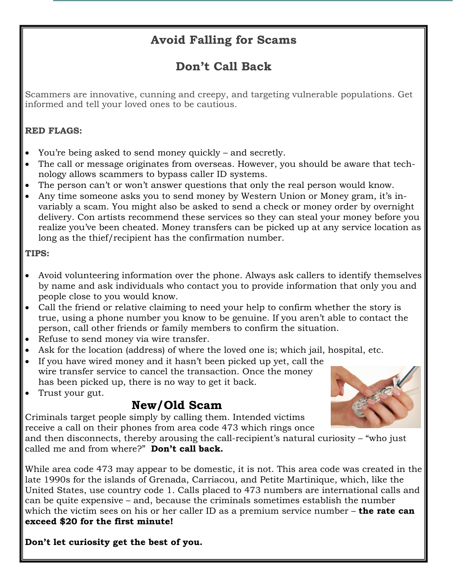## **Avoid Falling for Scams**

## **Don't Call Back**

Scammers are innovative, cunning and creepy, and targeting vulnerable populations. Get informed and tell your loved ones to be cautious.

#### **RED FLAGS:**

- You're being asked to send money quickly and secretly.
- The call or message originates from overseas. However, you should be aware that technology allows scammers to bypass caller ID systems.
- The person can't or won't answer questions that only the real person would know.
- Any time someone asks you to send money by Western Union or Money gram, it's [in](http://www.atg.wa.gov/WorkArea/linkit.aspx?LinkIdentifier=id&ItemID=28700)[variably a scam](http://www.atg.wa.gov/WorkArea/linkit.aspx?LinkIdentifier=id&ItemID=28700). You might also be asked to send a check or money order by overnight delivery. Con artists recommend these services so they can steal your money before you realize you've been cheated. Money transfers can be picked up at any service location as long as the thief/recipient has the confirmation number.

#### **TIPS:**

- Avoid volunteering information over the phone. Always ask callers to identify themselves by name and ask individuals who contact you to provide information that only you and people close to you would know.
- Call the friend or relative claiming to need your help to confirm whether the story is true, using a phone number you know to be genuine. If you aren't able to contact the person, call other friends or family members to confirm the situation.
- Refuse to send money via wire transfer.
- Ask for the location (address) of where the loved one is; which jail, hospital, etc.
- If you have wired money and it hasn't been picked up yet, call the wire transfer service to cancel the transaction. Once the money has been picked up, there is no way to get it back.
- Trust your gut.

## **New/Old Scam**

Criminals target people simply by calling them. Intended victims receive a call on their phones from area code 473 which rings once

and then disconnects, thereby arousing the call-recipient's natural curiosity – "who just called me and from where?" **Don't call back.** 

While area code 473 may appear to be domestic, it is not. This area code was created in the late 1990s for the islands of Grenada, Carriacou, and Petite Martinique, which, like the United States, use country code 1. Calls placed to 473 numbers are international calls and can be quite expensive – and, because the criminals sometimes establish the number which the victim sees on his or her caller ID as a premium service number – **the rate can exceed \$20 for the first minute!** 

**Don't let curiosity get the best of you.** 

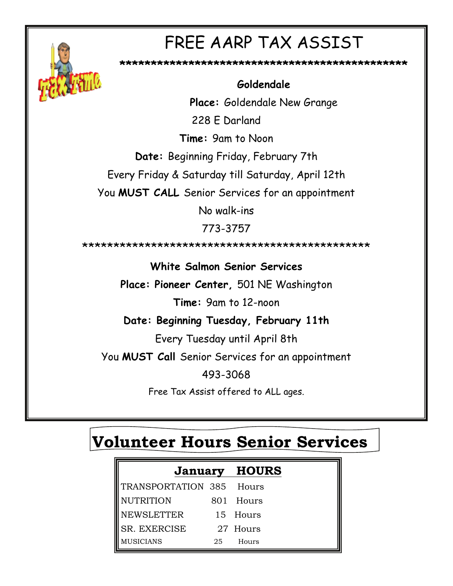

# FREE AARP TAX ASSIST

**\*\*\*\*\*\*\*\*\*\*\*\*\*\*\*\*\*\*\*\*\*\*\*\*\*\*\*\*\*\*\*\*\*\*\*\*\*\*\*\*\*\*\*\*\*\*** 

### **Goldendale**

**Place:** Goldendale New Grange

228 E Darland

**Time:** 9am to Noon

**Date:** Beginning Friday, February 7th

Every Friday & Saturday till Saturday, April 12th

You **MUST CALL** Senior Services for an appointment

No walk-ins

773-3757

\*\*\*\*\*\*\*\*\*\*\*\*\*\*\*\*\*\*\*\*\*\*\*\*\*\*\*\*\*\*\*\*\*\*\*\*\*\*\*\*\*\*\*\*\*\*

**White Salmon Senior Services** 

**Place: Pioneer Center,** 501 NE Washington

**Time:** 9am to 12-noon

**Date: Beginning Tuesday, February 11th** 

Every Tuesday until April 8th

You **MUST Call** Senior Services for an appointment

493-3068

Free Tax Assist offered to ALL ages.

## **Volunteer Hours Senior Services**

|                                                 | <b>January HOURS</b> |          |
|-------------------------------------------------|----------------------|----------|
|                                                 |                      |          |
| TRANSPORTATION 385 Hours<br>NUTRITION 801 Hours |                      |          |
| NEWSLETTER                                      |                      | 15 Hours |
| SR. EXERCISE                                    |                      | 27 Hours |
| <b>MUSICIANS</b>                                | 25                   | Hours    |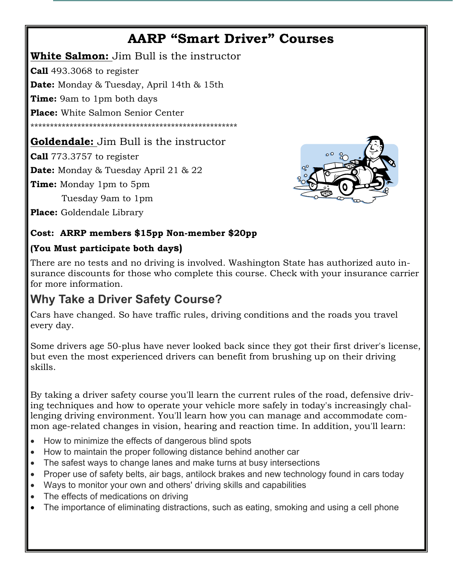## **AARP "Smart Driver" Courses**

**White Salmon:** Jim Bull is the instructor **Call** 493.3068 to register **Date:** Monday & Tuesday, April 14th & 15th **Time:** 9am to 1pm both days **Place:** White Salmon Senior Center \*\*\*\*\*\*\*\*\*\*\*\*\*\*\*\*\*\*\*\*\*\*\*\*\*\*\*\*\*\*\*\*\*\*\*\*\*\*\*\*\*\*\*\*\*\*\*\*\*\*\*\*\*

### **Goldendale:** Jim Bull is the instructor

**Call** 773.3757 to register

**Date:** Monday & Tuesday April 21 & 22

**Time:** Monday 1pm to 5pm

Tuesday 9am to 1pm

**Place:** Goldendale Library



#### **Cost: ARRP members \$15pp Non-member \$20pp**

#### **(You Must participate both days)**

There are no tests and no driving is involved. Washington State has authorized auto insurance discounts for those who complete this course. Check with your insurance carrier for more information.

## **Why Take a Driver Safety Course?**

Cars have changed. So have traffic rules, driving conditions and the roads you travel every day.

Some drivers age 50-plus have never looked back since they got their first driver's license, but even the most experienced drivers can benefit from brushing up on their driving skills.

By taking a driver safety course you'll learn the current rules of the road, defensive driving techniques and how to operate your vehicle more safely in today's increasingly challenging driving environment. You'll learn how you can manage and accommodate common age-related changes in vision, hearing and reaction time. In addition, you'll learn:

- How to minimize the effects of dangerous blind spots
- How to maintain the proper following distance behind another car
- The safest ways to change lanes and make turns at busy intersections
- Proper use of safety belts, air bags, antilock brakes and new technology found in cars today
- Ways to monitor your own and others' driving skills and capabilities
- The effects of medications on driving
- The importance of eliminating distractions, such as eating, smoking and using a cell phone